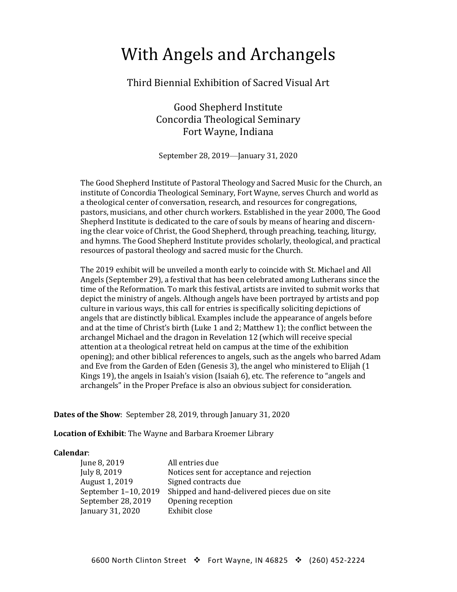## With Angels and Archangels

### Third Biennial Exhibition of Sacred Visual Art

Good Shepherd Institute Concordia Theological Seminary Fort Wayne, Indiana

September 28, 2019—January 31, 2020

The Good Shepherd Institute of Pastoral Theology and Sacred Music for the Church, an institute of Concordia Theological Seminary, Fort Wayne, serves Church and world as a theological center of conversation, research, and resources for congregations, pastors, musicians, and other church workers. Established in the year 2000, The Good Shepherd Institute is dedicated to the care of souls by means of hearing and discerning the clear voice of Christ, the Good Shepherd, through preaching, teaching, liturgy, and hymns. The Good Shepherd Institute provides scholarly, theological, and practical resources of pastoral theology and sacred music for the Church.

The 2019 exhibit will be unveiled a month early to coincide with St. Michael and All Angels (September 29), a festival that has been celebrated among Lutherans since the time of the Reformation. To mark this festival, artists are invited to submit works that depict the ministry of angels. Although angels have been portrayed by artists and pop culture in various ways, this call for entries is specifically soliciting depictions of angels that are distinctly biblical. Examples include the appearance of angels before and at the time of Christ's birth (Luke 1 and 2; Matthew 1); the conflict between the archangel Michael and the dragon in Revelation 12 (which will receive special attention at a theological retreat held on campus at the time of the exhibition opening); and other biblical references to angels, such as the angels who barred Adam and Eve from the Garden of Eden (Genesis 3), the angel who ministered to Elijah (1 Kings 19), the angels in Isaiah's vision (Isaiah 6), etc. The reference to "angels and archangels" in the Proper Preface is also an obvious subject for consideration.

**Dates of the Show**: September 28, 2019, through January 31, 2020

**Location of Exhibit**: The Wayne and Barbara Kroemer Library

#### **Calendar**:

| June 8, 2019         | All entries due                               |
|----------------------|-----------------------------------------------|
| July 8, 2019         | Notices sent for acceptance and rejection     |
| August 1, 2019       | Signed contracts due                          |
| September 1-10, 2019 | Shipped and hand-delivered pieces due on site |
| September 28, 2019   | Opening reception                             |
| January 31, 2020     | Exhibit close                                 |
|                      |                                               |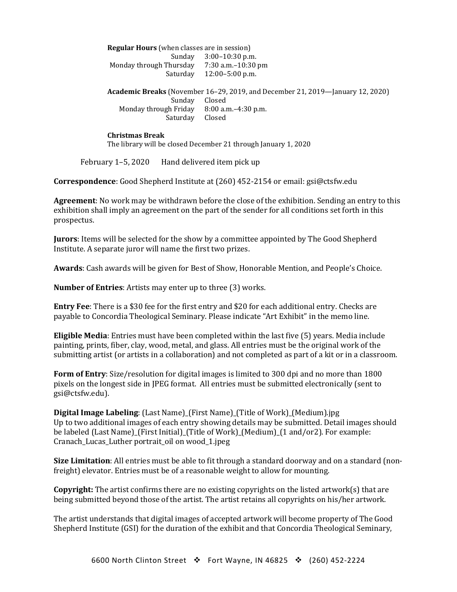**Regular Hours** (when classes are in session) Sunday 3:00–10:30 p.m. Monday through Thursday 7:30 a.m.-10:30 pm Saturday 12:00–5:00 p.m. **Academic Breaks** (November 16–29, 2019, and December 21, 2019—January 12, 2020) Sunday Closed<br>1 Friday 8:00 a.m. – 4:30 p.m. Monday through Friday 8:00 a.u.<br>Saturday Closed Saturday

**Christmas Break** The library will be closed December 21 through January 1, 2020

February 1–5, 2020 Hand delivered item pick up

**Correspondence**: Good Shepherd Institute at (260) 452-2154 or email: gsi@ctsfw.edu

**Agreement**: No work may be withdrawn before the close of the exhibition. Sending an entry to this exhibition shall imply an agreement on the part of the sender for all conditions set forth in this prospectus.

**Jurors**: Items will be selected for the show by a committee appointed by The Good Shepherd Institute. A separate juror will name the first two prizes.

**Awards**: Cash awards will be given for Best of Show, Honorable Mention, and People's Choice.

**Number of Entries**: Artists may enter up to three (3) works.

**Entry Fee**: There is a \$30 fee for the first entry and \$20 for each additional entry. Checks are payable to Concordia Theological Seminary. Please indicate "Art Exhibit" in the memo line.

**Eligible Media**: Entries must have been completed within the last five (5) years. Media include painting, prints, fiber, clay, wood, metal, and glass. All entries must be the original work of the submitting artist (or artists in a collaboration) and not completed as part of a kit or in a classroom.

**Form of Entry**: Size/resolution for digital images is limited to 300 dpi and no more than 1800 pixels on the longest side in JPEG format. All entries must be submitted electronically (sent to gsi@ctsfw.edu).

**Digital Image Labeling**: (Last Name)\_(First Name)\_(Title of Work)\_(Medium).jpg Up to two additional images of each entry showing details may be submitted. Detail images should be labeled (Last Name)\_(First Initial)\_(Title of Work)\_(Medium)\_(1 and/or2). For example: Cranach\_Lucas\_Luther portrait\_oil on wood\_1.jpeg

**Size Limitation**: All entries must be able to fit through a standard doorway and on a standard (nonfreight) elevator. Entries must be of a reasonable weight to allow for mounting.

**Copyright:** The artist confirms there are no existing copyrights on the listed artwork(s) that are being submitted beyond those of the artist. The artist retains all copyrights on his/her artwork.

The artist understands that digital images of accepted artwork will become property of The Good Shepherd Institute (GSI) for the duration of the exhibit and that Concordia Theological Seminary,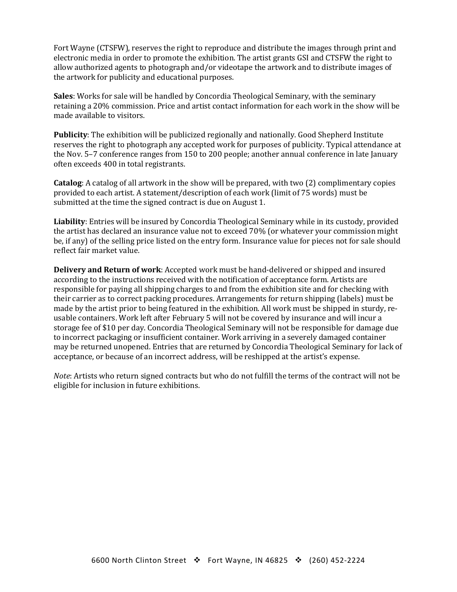Fort Wayne (CTSFW), reserves the right to reproduce and distribute the images through print and electronic media in order to promote the exhibition. The artist grants GSI and CTSFW the right to allow authorized agents to photograph and/or videotape the artwork and to distribute images of the artwork for publicity and educational purposes.

**Sales**: Works for sale will be handled by Concordia Theological Seminary, with the seminary retaining a 20% commission. Price and artist contact information for each work in the show will be made available to visitors.

**Publicity**: The exhibition will be publicized regionally and nationally. Good Shepherd Institute reserves the right to photograph any accepted work for purposes of publicity. Typical attendance at the Nov. 5–7 conference ranges from 150 to 200 people; another annual conference in late January often exceeds 400 in total registrants.

**Catalog**: A catalog of all artwork in the show will be prepared, with two (2) complimentary copies provided to each artist. A statement/description of each work (limit of 75 words) must be submitted at the time the signed contract is due on August 1.

**Liability**: Entries will be insured by Concordia Theological Seminary while in its custody, provided the artist has declared an insurance value not to exceed 70% (or whatever your commission might be, if any) of the selling price listed on the entry form. Insurance value for pieces not for sale should reflect fair market value.

**Delivery and Return of work**: Accepted work must be hand-delivered or shipped and insured according to the instructions received with the notification of acceptance form. Artists are responsible for paying all shipping charges to and from the exhibition site and for checking with their carrier as to correct packing procedures. Arrangements for return shipping (labels) must be made by the artist prior to being featured in the exhibition. All work must be shipped in sturdy, reusable containers. Work left after February 5 will not be covered by insurance and will incur a storage fee of \$10 per day. Concordia Theological Seminary will not be responsible for damage due to incorrect packaging or insufficient container. Work arriving in a severely damaged container may be returned unopened. Entries that are returned by Concordia Theological Seminary for lack of acceptance, or because of an incorrect address, will be reshipped at the artist's expense.

*Note*: Artists who return signed contracts but who do not fulfill the terms of the contract will not be eligible for inclusion in future exhibitions.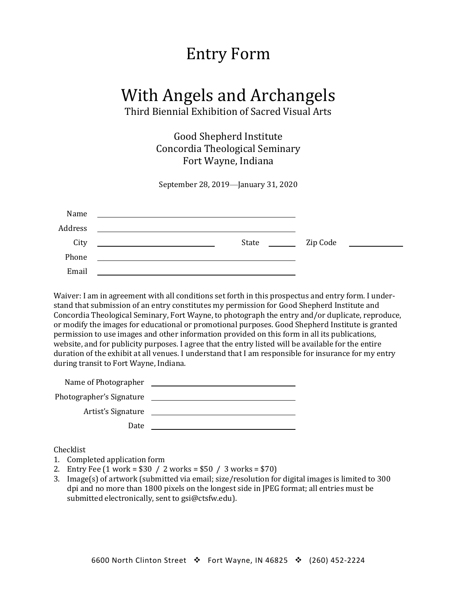### Entry Form

# With Angels and Archangels

Third Biennial Exhibition of Sacred Visual Arts

Good Shepherd Institute Concordia Theological Seminary Fort Wayne, Indiana

September 28, 2019—January 31, 2020

| Name    | <u> 1989 - John Stein, mars and de final and de final and de final and de final and de final and de final and de</u>                                                        |          |                                                                                                                     |
|---------|-----------------------------------------------------------------------------------------------------------------------------------------------------------------------------|----------|---------------------------------------------------------------------------------------------------------------------|
| Address |                                                                                                                                                                             |          |                                                                                                                     |
| City    | State<br>$\sim$ $\sim$ $\sim$ $\sim$ $\sim$ $\sim$<br><u> 1989 - Johann Harry Harry Harry Harry Harry Harry Harry Harry Harry Harry Harry Harry Harry Harry Harry Harry</u> | Zip Code | <u> 1980 - Andrea Albert III, politik eta politik eta politik eta politik eta politik eta politik eta politik e</u> |
| Phone   | <u>a sa mga salawang mga sangang ng mga sangang ng mga sangang ng mga sangang ng mga sangang ng mga sangang ng mga</u>                                                      |          |                                                                                                                     |
| Email   |                                                                                                                                                                             |          |                                                                                                                     |

Waiver: I am in agreement with all conditions set forth in this prospectus and entry form. I understand that submission of an entry constitutes my permission for Good Shepherd Institute and Concordia Theological Seminary, Fort Wayne, to photograph the entry and/or duplicate, reproduce, or modify the images for educational or promotional purposes. Good Shepherd Institute is granted permission to use images and other information provided on this form in all its publications, website, and for publicity purposes. I agree that the entry listed will be available for the entire duration of the exhibit at all venues. I understand that I am responsible for insurance for my entry during transit to Fort Wayne, Indiana.

| Name of Photographer     |  |
|--------------------------|--|
| Photographer's Signature |  |
| Artist's Signature       |  |
| Date                     |  |

Checklist

- 1. Completed application form
- 2. Entry Fee (1 work = \$30 / 2 works = \$50 / 3 works = \$70)
- 3. Image(s) of artwork (submitted via email; size/resolution for digital images is limited to 300 dpi and no more than 1800 pixels on the longest side in JPEG format; all entries must be submitted electronically, sent to gsi@ctsfw.edu).